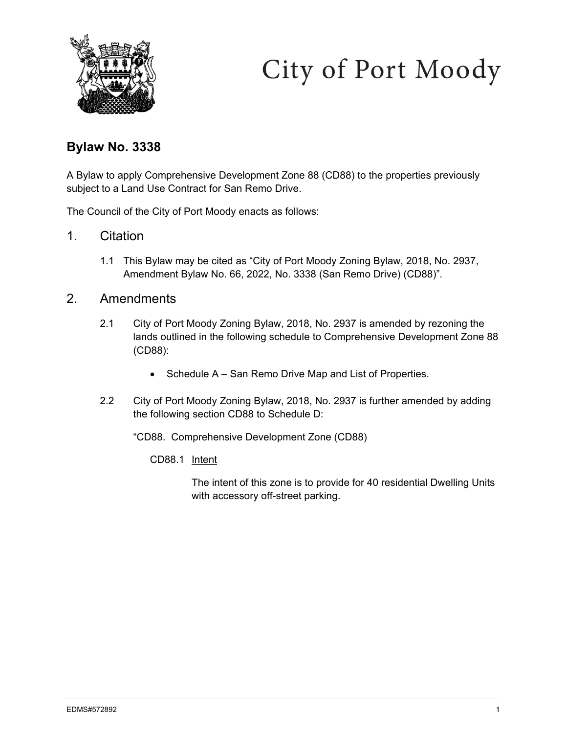

# City of Port Moody

## **Bylaw No. 3338**

A Bylaw to apply Comprehensive Development Zone 88 (CD88) to the properties previously subject to a Land Use Contract for San Remo Drive.

The Council of the City of Port Moody enacts as follows:

- 1. Citation
	- 1.1 This Bylaw may be cited as "City of Port Moody Zoning Bylaw, 2018, No. 2937, Amendment Bylaw No. 66, 2022, No. 3338 (San Remo Drive) (CD88)".

## 2. Amendments

- 2.1 City of Port Moody Zoning Bylaw, 2018, No. 2937 is amended by rezoning the lands outlined in the following schedule to Comprehensive Development Zone 88 (CD88):
	- Schedule A San Remo Drive Map and List of Properties.
- 2.2 City of Port Moody Zoning Bylaw, 2018, No. 2937 is further amended by adding the following section CD88 to Schedule D:

"CD88. Comprehensive Development Zone (CD88)

CD88.1 Intent

The intent of this zone is to provide for 40 residential Dwelling Units with accessory off-street parking.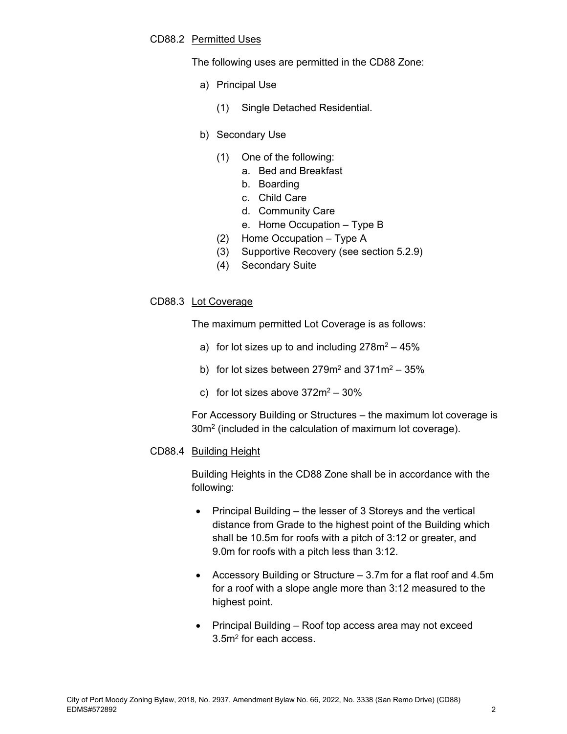#### CD88.2 Permitted Uses

The following uses are permitted in the CD88 Zone:

- a) Principal Use
	- (1) Single Detached Residential.

#### b) Secondary Use

- (1) One of the following:
	- a. Bed and Breakfast
	- b. Boarding
	- c. Child Care
	- d. Community Care
	- e. Home Occupation Type B
- (2) Home Occupation Type A
- (3) Supportive Recovery (see section 5.2.9)
- (4) Secondary Suite

#### CD88.3 Lot Coverage

The maximum permitted Lot Coverage is as follows:

- a) for lot sizes up to and including  $278m^2 45\%$
- b) for lot sizes between  $279m^2$  and  $371m^2 35\%$
- c) for lot sizes above  $372m^2 30\%$

For Accessory Building or Structures – the maximum lot coverage is 30m2 (included in the calculation of maximum lot coverage).

#### CD88.4 Building Height

Building Heights in the CD88 Zone shall be in accordance with the following:

- Principal Building the lesser of 3 Storeys and the vertical distance from Grade to the highest point of the Building which shall be 10.5m for roofs with a pitch of 3:12 or greater, and 9.0m for roofs with a pitch less than 3:12.
- Accessory Building or Structure 3.7m for a flat roof and 4.5m for a roof with a slope angle more than 3:12 measured to the highest point.
- Principal Building Roof top access area may not exceed 3.5m2 for each access.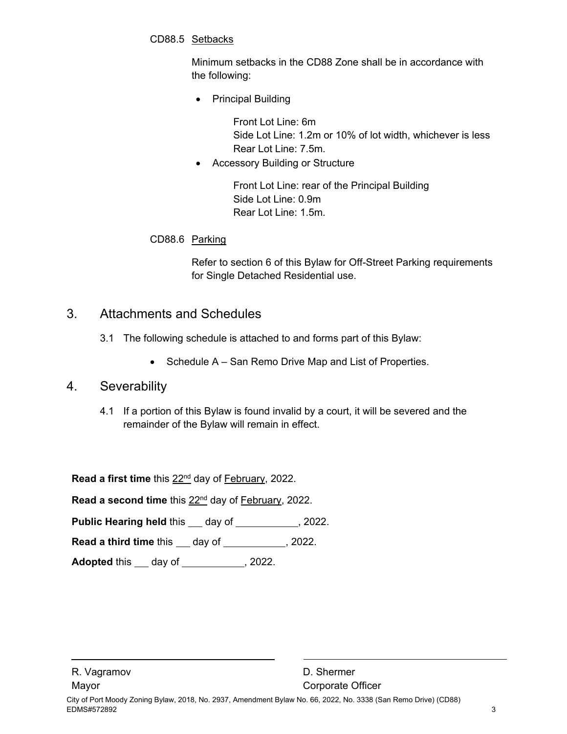CD88.5 Setbacks

Minimum setbacks in the CD88 Zone shall be in accordance with the following:

• Principal Building

Front Lot Line: 6m Side Lot Line: 1.2m or 10% of lot width, whichever is less Rear Lot Line: 7.5m.

Accessory Building or Structure

Front Lot Line: rear of the Principal Building Side Lot Line: 0.9m Rear Lot Line: 1.5m.

### CD88.6 Parking

Refer to section 6 of this Bylaw for Off-Street Parking requirements for Single Detached Residential use.

## 3. Attachments and Schedules

- 3.1 The following schedule is attached to and forms part of this Bylaw:
	- Schedule A San Remo Drive Map and List of Properties.

## 4. Severability

4.1 If a portion of this Bylaw is found invalid by a court, it will be severed and the remainder of the Bylaw will remain in effect.

Read a first time this 22<sup>nd</sup> day of February, 2022.

**Read a second time** this 22nd day of February, 2022.

**Public Hearing held this \_\_ day of \_\_\_\_\_\_\_\_\_\_, 2022.** 

**Read a third time** this \_\_\_ day of \_\_\_\_\_\_\_\_\_\_\_, 2022.

**Adopted** this \_\_\_ day of \_\_\_\_\_\_\_\_\_\_\_, 2022.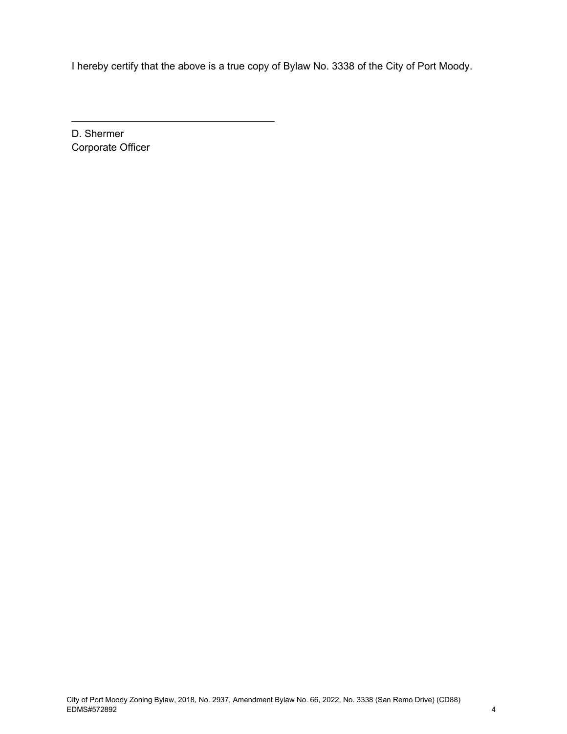I hereby certify that the above is a true copy of Bylaw No. 3338 of the City of Port Moody.

D. Shermer Corporate Officer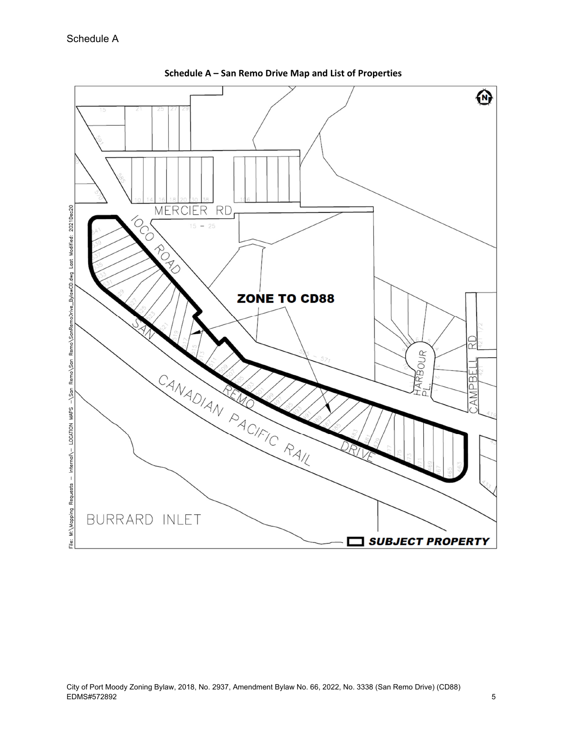

**Schedule A – San Remo Drive Map and List of Properties**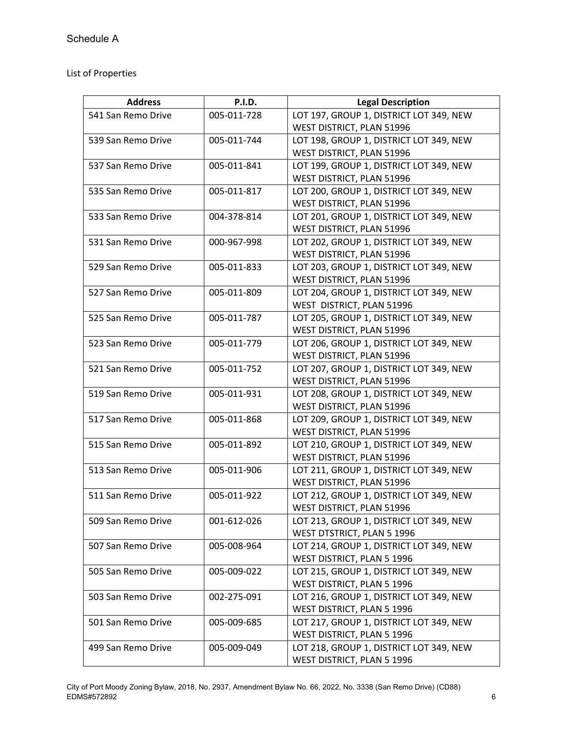List of Properties

| <b>Address</b>     | <b>P.I.D.</b> | <b>Legal Description</b>                |
|--------------------|---------------|-----------------------------------------|
| 541 San Remo Drive | 005-011-728   | LOT 197, GROUP 1, DISTRICT LOT 349, NEW |
|                    |               | WEST DISTRICT, PLAN 51996               |
| 539 San Remo Drive | 005-011-744   | LOT 198, GROUP 1, DISTRICT LOT 349, NEW |
|                    |               | WEST DISTRICT, PLAN 51996               |
| 537 San Remo Drive | 005-011-841   | LOT 199, GROUP 1, DISTRICT LOT 349, NEW |
|                    |               | WEST DISTRICT, PLAN 51996               |
| 535 San Remo Drive | 005-011-817   | LOT 200, GROUP 1, DISTRICT LOT 349, NEW |
|                    |               | WEST DISTRICT, PLAN 51996               |
| 533 San Remo Drive | 004-378-814   | LOT 201, GROUP 1, DISTRICT LOT 349, NEW |
|                    |               | WEST DISTRICT, PLAN 51996               |
| 531 San Remo Drive | 000-967-998   | LOT 202, GROUP 1, DISTRICT LOT 349, NEW |
|                    |               | WEST DISTRICT, PLAN 51996               |
| 529 San Remo Drive | 005-011-833   | LOT 203, GROUP 1, DISTRICT LOT 349, NEW |
|                    |               | WEST DISTRICT, PLAN 51996               |
| 527 San Remo Drive | 005-011-809   | LOT 204, GROUP 1, DISTRICT LOT 349, NEW |
|                    |               | WEST DISTRICT, PLAN 51996               |
| 525 San Remo Drive | 005-011-787   | LOT 205, GROUP 1, DISTRICT LOT 349, NEW |
|                    |               | WEST DISTRICT, PLAN 51996               |
| 523 San Remo Drive | 005-011-779   | LOT 206, GROUP 1, DISTRICT LOT 349, NEW |
|                    |               | WEST DISTRICT, PLAN 51996               |
| 521 San Remo Drive | 005-011-752   | LOT 207, GROUP 1, DISTRICT LOT 349, NEW |
|                    |               | WEST DISTRICT, PLAN 51996               |
| 519 San Remo Drive | 005-011-931   | LOT 208, GROUP 1, DISTRICT LOT 349, NEW |
|                    |               | WEST DISTRICT, PLAN 51996               |
| 517 San Remo Drive | 005-011-868   | LOT 209, GROUP 1, DISTRICT LOT 349, NEW |
|                    |               | WEST DISTRICT, PLAN 51996               |
| 515 San Remo Drive | 005-011-892   | LOT 210, GROUP 1, DISTRICT LOT 349, NEW |
|                    |               | WEST DISTRICT, PLAN 51996               |
| 513 San Remo Drive | 005-011-906   | LOT 211, GROUP 1, DISTRICT LOT 349, NEW |
|                    |               | WEST DISTRICT, PLAN 51996               |
| 511 San Remo Drive | 005-011-922   | LOT 212, GROUP 1, DISTRICT LOT 349, NEW |
|                    |               | WEST DISTRICT, PLAN 51996               |
| 509 San Remo Drive | 001-612-026   | LOT 213, GROUP 1, DISTRICT LOT 349, NEW |
|                    |               | WEST DTSTRICT, PLAN 5 1996              |
| 507 San Remo Drive | 005-008-964   | LOT 214, GROUP 1, DISTRICT LOT 349, NEW |
|                    |               | WEST DISTRICT, PLAN 5 1996              |
| 505 San Remo Drive | 005-009-022   | LOT 215, GROUP 1, DISTRICT LOT 349, NEW |
|                    |               | WEST DISTRICT, PLAN 5 1996              |
| 503 San Remo Drive | 002-275-091   | LOT 216, GROUP 1, DISTRICT LOT 349, NEW |
|                    |               | WEST DISTRICT, PLAN 5 1996              |
| 501 San Remo Drive | 005-009-685   | LOT 217, GROUP 1, DISTRICT LOT 349, NEW |
|                    |               | WEST DISTRICT, PLAN 5 1996              |
| 499 San Remo Drive | 005-009-049   | LOT 218, GROUP 1, DISTRICT LOT 349, NEW |
|                    |               | WEST DISTRICT, PLAN 5 1996              |